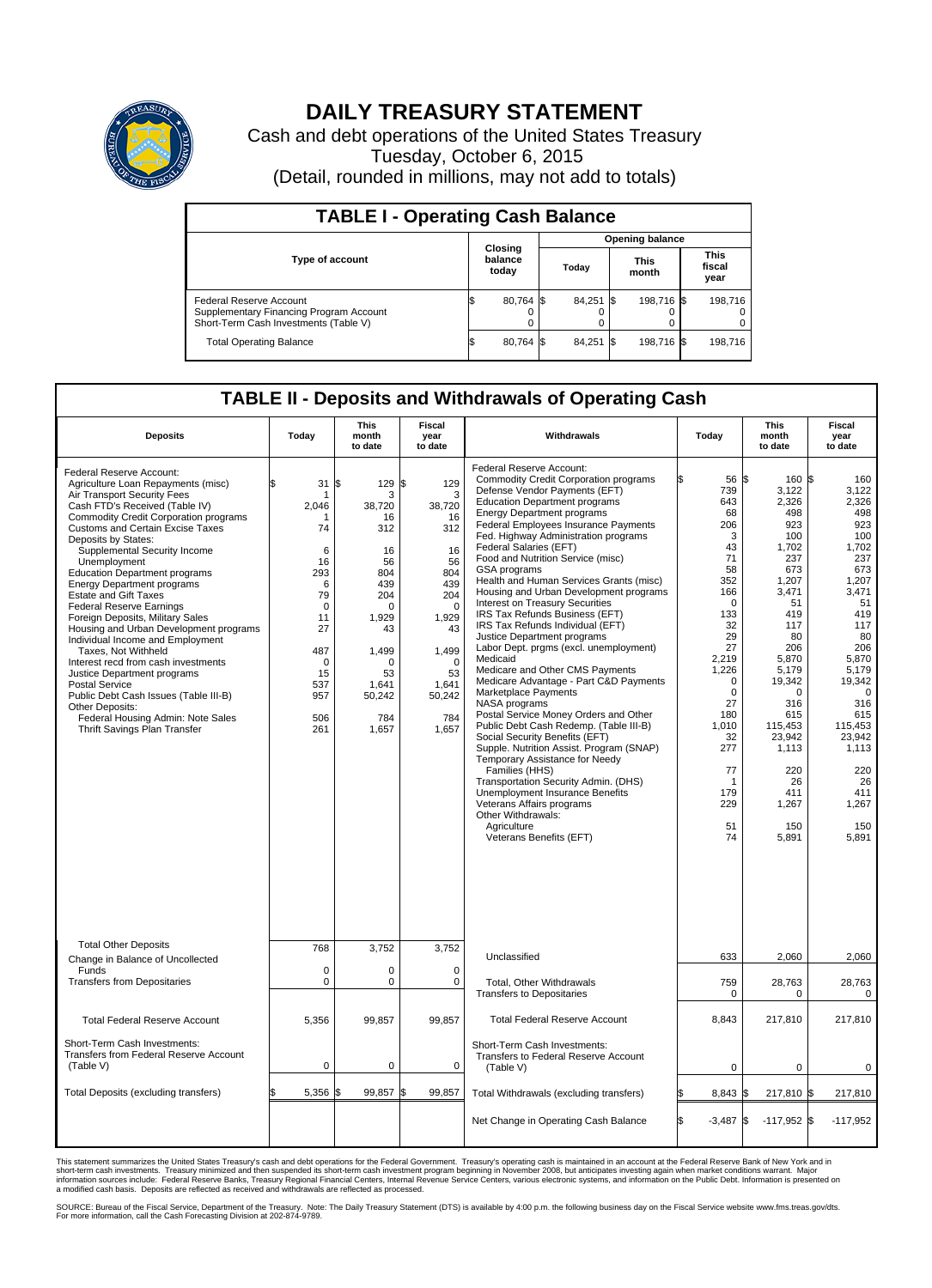

## **DAILY TREASURY STATEMENT**

Cash and debt operations of the United States Treasury Tuesday, October 6, 2015 (Detail, rounded in millions, may not add to totals)

| <b>TABLE I - Operating Cash Balance</b>                                                                     |    |                             |  |                        |  |                      |  |                               |  |
|-------------------------------------------------------------------------------------------------------------|----|-----------------------------|--|------------------------|--|----------------------|--|-------------------------------|--|
|                                                                                                             |    |                             |  | <b>Opening balance</b> |  |                      |  |                               |  |
| <b>Type of account</b>                                                                                      |    | Closing<br>balance<br>today |  | Today                  |  | <b>This</b><br>month |  | <b>This</b><br>fiscal<br>year |  |
| Federal Reserve Account<br>Supplementary Financing Program Account<br>Short-Term Cash Investments (Table V) |    | 80,764 \$                   |  | 84,251 \$              |  | 198,716 \$           |  | 198.716                       |  |
| <b>Total Operating Balance</b>                                                                              | ıа | 80,764 \$                   |  | 84,251 \$              |  | 198,716 \$           |  | 198,716                       |  |

## **TABLE II - Deposits and Withdrawals of Operating Cash**

| <b>Deposits</b>                                                                                                                                                                                                                                                                                                                                                                                                                                                                                                                                                                                                                                                                                                                                                                                                            | Today                                                                                                                             | <b>This</b><br>month<br>to date                                                                                                                          | <b>Fiscal</b><br>year<br>to date                                                                                                                                | Withdrawals                                                                                                                                                                                                                                                                                                                                                                                                                                                                                                                                                                                                                                                                                                                                                                                                                                                                                                                                                                                                                                                                                                                                                 | Today                                                                                                                                                                                                                                     | <b>This</b><br>month<br>to date                                                                                                                                                                                                                             | <b>Fiscal</b><br>year<br>to date                                                                                                                                                                                                                         |
|----------------------------------------------------------------------------------------------------------------------------------------------------------------------------------------------------------------------------------------------------------------------------------------------------------------------------------------------------------------------------------------------------------------------------------------------------------------------------------------------------------------------------------------------------------------------------------------------------------------------------------------------------------------------------------------------------------------------------------------------------------------------------------------------------------------------------|-----------------------------------------------------------------------------------------------------------------------------------|----------------------------------------------------------------------------------------------------------------------------------------------------------|-----------------------------------------------------------------------------------------------------------------------------------------------------------------|-------------------------------------------------------------------------------------------------------------------------------------------------------------------------------------------------------------------------------------------------------------------------------------------------------------------------------------------------------------------------------------------------------------------------------------------------------------------------------------------------------------------------------------------------------------------------------------------------------------------------------------------------------------------------------------------------------------------------------------------------------------------------------------------------------------------------------------------------------------------------------------------------------------------------------------------------------------------------------------------------------------------------------------------------------------------------------------------------------------------------------------------------------------|-------------------------------------------------------------------------------------------------------------------------------------------------------------------------------------------------------------------------------------------|-------------------------------------------------------------------------------------------------------------------------------------------------------------------------------------------------------------------------------------------------------------|----------------------------------------------------------------------------------------------------------------------------------------------------------------------------------------------------------------------------------------------------------|
| Federal Reserve Account:<br>Agriculture Loan Repayments (misc)<br>Air Transport Security Fees<br>Cash FTD's Received (Table IV)<br><b>Commodity Credit Corporation programs</b><br><b>Customs and Certain Excise Taxes</b><br>Deposits by States:<br>Supplemental Security Income<br>Unemployment<br><b>Education Department programs</b><br><b>Energy Department programs</b><br><b>Estate and Gift Taxes</b><br><b>Federal Reserve Earnings</b><br>Foreign Deposits, Military Sales<br>Housing and Urban Development programs<br>Individual Income and Employment<br>Taxes. Not Withheld<br>Interest recd from cash investments<br>Justice Department programs<br><b>Postal Service</b><br>Public Debt Cash Issues (Table III-B)<br>Other Deposits:<br>Federal Housing Admin: Note Sales<br>Thrift Savings Plan Transfer | 31<br>2.046<br>74<br>6<br>16<br>293<br>6<br>79<br>$\mathbf 0$<br>11<br>27<br>487<br>$\mathbf 0$<br>15<br>537<br>957<br>506<br>261 | \$<br>129<br>3<br>38.720<br>16<br>312<br>16<br>56<br>804<br>439<br>204<br>$\Omega$<br>1,929<br>43<br>1,499<br>n<br>53<br>1,641<br>50,242<br>784<br>1,657 | \$<br>129<br>3<br>38.720<br>16<br>312<br>16<br>56<br>804<br>439<br>204<br>$\Omega$<br>1,929<br>43<br>1,499<br>$\Omega$<br>53<br>1,641<br>50,242<br>784<br>1,657 | Federal Reserve Account:<br><b>Commodity Credit Corporation programs</b><br>Defense Vendor Payments (EFT)<br><b>Education Department programs</b><br><b>Energy Department programs</b><br>Federal Employees Insurance Payments<br>Fed. Highway Administration programs<br>Federal Salaries (EFT)<br>Food and Nutrition Service (misc)<br>GSA programs<br>Health and Human Services Grants (misc)<br>Housing and Urban Development programs<br>Interest on Treasury Securities<br>IRS Tax Refunds Business (EFT)<br>IRS Tax Refunds Individual (EFT)<br>Justice Department programs<br>Labor Dept. prgms (excl. unemployment)<br>Medicaid<br>Medicare and Other CMS Payments<br>Medicare Advantage - Part C&D Payments<br>Marketplace Payments<br>NASA programs<br>Postal Service Money Orders and Other<br>Public Debt Cash Redemp. (Table III-B)<br>Social Security Benefits (EFT)<br>Supple. Nutrition Assist. Program (SNAP)<br>Temporary Assistance for Needy<br>Families (HHS)<br>Transportation Security Admin. (DHS)<br>Unemployment Insurance Benefits<br>Veterans Affairs programs<br>Other Withdrawals:<br>Agriculture<br>Veterans Benefits (EFT) | 56 \$<br>739<br>643<br>68<br>206<br>3<br>43<br>71<br>58<br>352<br>166<br>$\Omega$<br>133<br>32<br>29<br>27<br>2,219<br>1,226<br>$\Omega$<br>$\mathbf 0$<br>27<br>180<br>1,010<br>32<br>277<br>77<br>$\mathbf 1$<br>179<br>229<br>51<br>74 | $160$ $\text{S}$<br>3,122<br>2,326<br>498<br>923<br>100<br>1,702<br>237<br>673<br>1,207<br>3.471<br>51<br>419<br>117<br>80<br>206<br>5,870<br>5,179<br>19,342<br>0<br>316<br>615<br>115,453<br>23,942<br>1,113<br>220<br>26<br>411<br>1,267<br>150<br>5,891 | 160<br>3,122<br>2,326<br>498<br>923<br>100<br>1,702<br>237<br>673<br>1,207<br>3,471<br>51<br>419<br>117<br>80<br>206<br>5,870<br>5,179<br>19,342<br>$\mathbf 0$<br>316<br>615<br>115,453<br>23.942<br>1,113<br>220<br>26<br>411<br>1,267<br>150<br>5,891 |
| <b>Total Other Deposits</b>                                                                                                                                                                                                                                                                                                                                                                                                                                                                                                                                                                                                                                                                                                                                                                                                | 768                                                                                                                               | 3,752                                                                                                                                                    | 3.752                                                                                                                                                           | Unclassified                                                                                                                                                                                                                                                                                                                                                                                                                                                                                                                                                                                                                                                                                                                                                                                                                                                                                                                                                                                                                                                                                                                                                | 633                                                                                                                                                                                                                                       | 2,060                                                                                                                                                                                                                                                       | 2,060                                                                                                                                                                                                                                                    |
| Change in Balance of Uncollected<br>Funds                                                                                                                                                                                                                                                                                                                                                                                                                                                                                                                                                                                                                                                                                                                                                                                  | $\mathbf 0$                                                                                                                       | 0                                                                                                                                                        | 0                                                                                                                                                               |                                                                                                                                                                                                                                                                                                                                                                                                                                                                                                                                                                                                                                                                                                                                                                                                                                                                                                                                                                                                                                                                                                                                                             |                                                                                                                                                                                                                                           |                                                                                                                                                                                                                                                             |                                                                                                                                                                                                                                                          |
| <b>Transfers from Depositaries</b>                                                                                                                                                                                                                                                                                                                                                                                                                                                                                                                                                                                                                                                                                                                                                                                         | $\mathbf 0$                                                                                                                       | 0                                                                                                                                                        | $\mathbf 0$                                                                                                                                                     | Total, Other Withdrawals<br><b>Transfers to Depositaries</b>                                                                                                                                                                                                                                                                                                                                                                                                                                                                                                                                                                                                                                                                                                                                                                                                                                                                                                                                                                                                                                                                                                | 759<br>0                                                                                                                                                                                                                                  | 28,763<br>0                                                                                                                                                                                                                                                 | 28,763<br>0                                                                                                                                                                                                                                              |
| <b>Total Federal Reserve Account</b>                                                                                                                                                                                                                                                                                                                                                                                                                                                                                                                                                                                                                                                                                                                                                                                       | 5,356                                                                                                                             | 99,857                                                                                                                                                   | 99,857                                                                                                                                                          | <b>Total Federal Reserve Account</b>                                                                                                                                                                                                                                                                                                                                                                                                                                                                                                                                                                                                                                                                                                                                                                                                                                                                                                                                                                                                                                                                                                                        | 8,843                                                                                                                                                                                                                                     | 217,810                                                                                                                                                                                                                                                     | 217,810                                                                                                                                                                                                                                                  |
| Short-Term Cash Investments:<br>Transfers from Federal Reserve Account<br>(Table V)                                                                                                                                                                                                                                                                                                                                                                                                                                                                                                                                                                                                                                                                                                                                        | 0                                                                                                                                 | 0                                                                                                                                                        | $\mathbf 0$                                                                                                                                                     | Short-Term Cash Investments:<br>Transfers to Federal Reserve Account<br>(Table V)                                                                                                                                                                                                                                                                                                                                                                                                                                                                                                                                                                                                                                                                                                                                                                                                                                                                                                                                                                                                                                                                           | $\mathbf 0$                                                                                                                                                                                                                               | $\mathbf 0$                                                                                                                                                                                                                                                 | 0                                                                                                                                                                                                                                                        |
| Total Deposits (excluding transfers)                                                                                                                                                                                                                                                                                                                                                                                                                                                                                                                                                                                                                                                                                                                                                                                       | 5,356                                                                                                                             | 99,857<br>\$                                                                                                                                             | \$<br>99,857                                                                                                                                                    | Total Withdrawals (excluding transfers)                                                                                                                                                                                                                                                                                                                                                                                                                                                                                                                                                                                                                                                                                                                                                                                                                                                                                                                                                                                                                                                                                                                     | 8,843 \$                                                                                                                                                                                                                                  | 217,810 \$                                                                                                                                                                                                                                                  | 217,810                                                                                                                                                                                                                                                  |
|                                                                                                                                                                                                                                                                                                                                                                                                                                                                                                                                                                                                                                                                                                                                                                                                                            |                                                                                                                                   |                                                                                                                                                          |                                                                                                                                                                 | Net Change in Operating Cash Balance                                                                                                                                                                                                                                                                                                                                                                                                                                                                                                                                                                                                                                                                                                                                                                                                                                                                                                                                                                                                                                                                                                                        | l\$<br>$-3,487$ \$                                                                                                                                                                                                                        | $-117,952$ \$                                                                                                                                                                                                                                               | $-117,952$                                                                                                                                                                                                                                               |

This statement summarizes the United States Treasury's cash and debt operations for the Federal Government. Treasury's operating cash is maintained in an account at the Federal Reserve Bank of New York and in<br>short-term ca

SOURCE: Bureau of the Fiscal Service, Department of the Treasury. Note: The Daily Treasury Statement (DTS) is available by 4:00 p.m. the following business day on the Fiscal Service website www.fms.treas.gov/dts.<br>For more